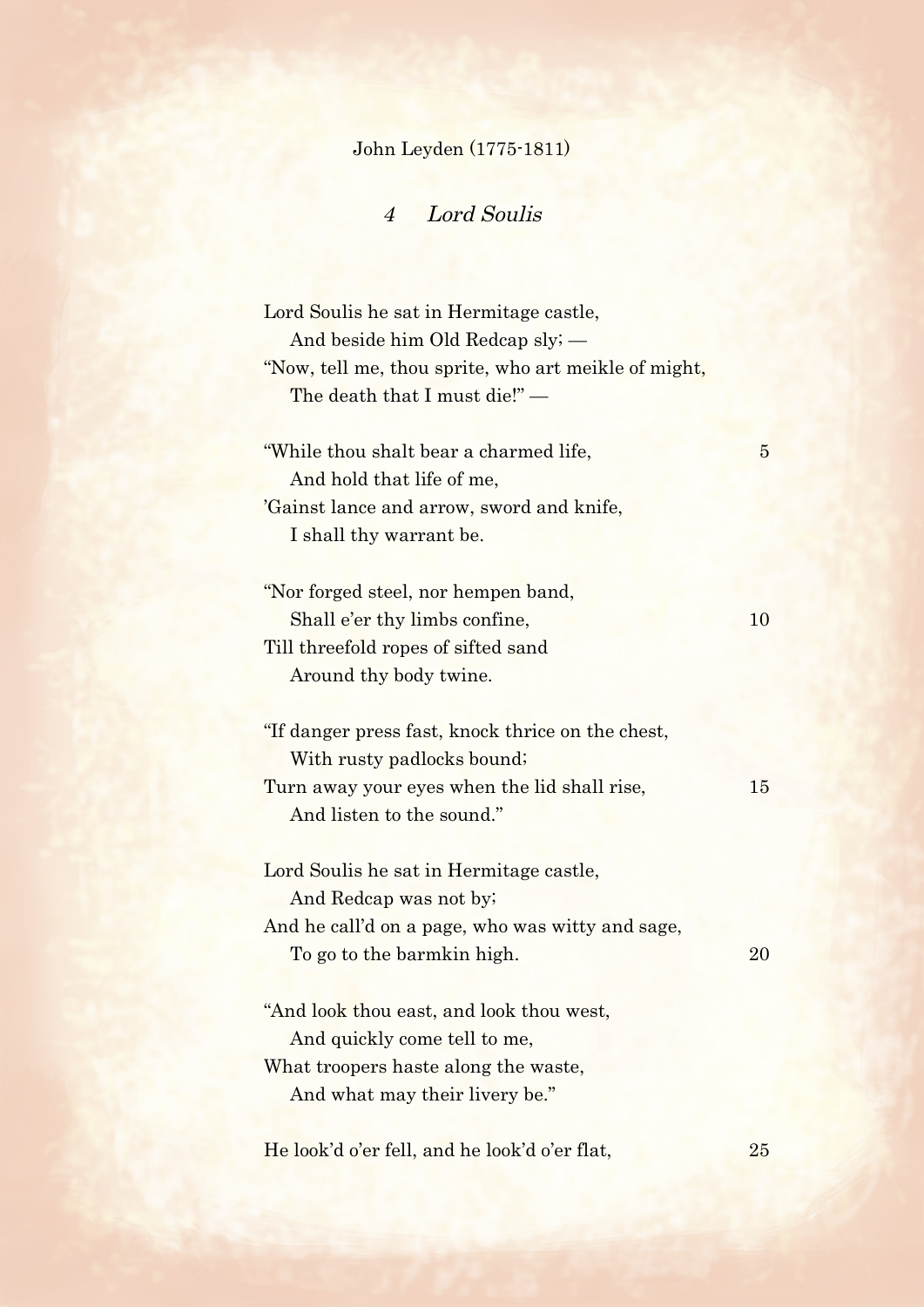## John Leyden (1775-1811)

4 Lord Soulis

| Lord Soulis he sat in Hermitage castle,<br>And beside him Old Redcap sly; —<br>"Now, tell me, thou sprite, who art meikle of might,<br>The death that I must die!" — |                |
|----------------------------------------------------------------------------------------------------------------------------------------------------------------------|----------------|
| "While thou shalt bear a charmed life,<br>And hold that life of me,<br>'Gainst lance and arrow, sword and knife,<br>I shall thy warrant be.                          | $\overline{5}$ |
| "Nor forged steel, nor hempen band,<br>Shall e'er thy limbs confine,<br>Till threefold ropes of sifted sand<br>Around thy body twine.                                | 10             |
| "If danger press fast, knock thrice on the chest,<br>With rusty padlocks bound;<br>Turn away your eyes when the lid shall rise,<br>And listen to the sound."         | 15             |
| Lord Soulis he sat in Hermitage castle,<br>And Redcap was not by;<br>And he call'd on a page, who was witty and sage,<br>To go to the barmkin high.                  | 20             |
| "And look thou east, and look thou west,<br>And quickly come tell to me,<br>What troopers haste along the waste,<br>And what may their livery be."                   |                |
| He look'd o'er fell, and he look'd o'er flat,                                                                                                                        | 25             |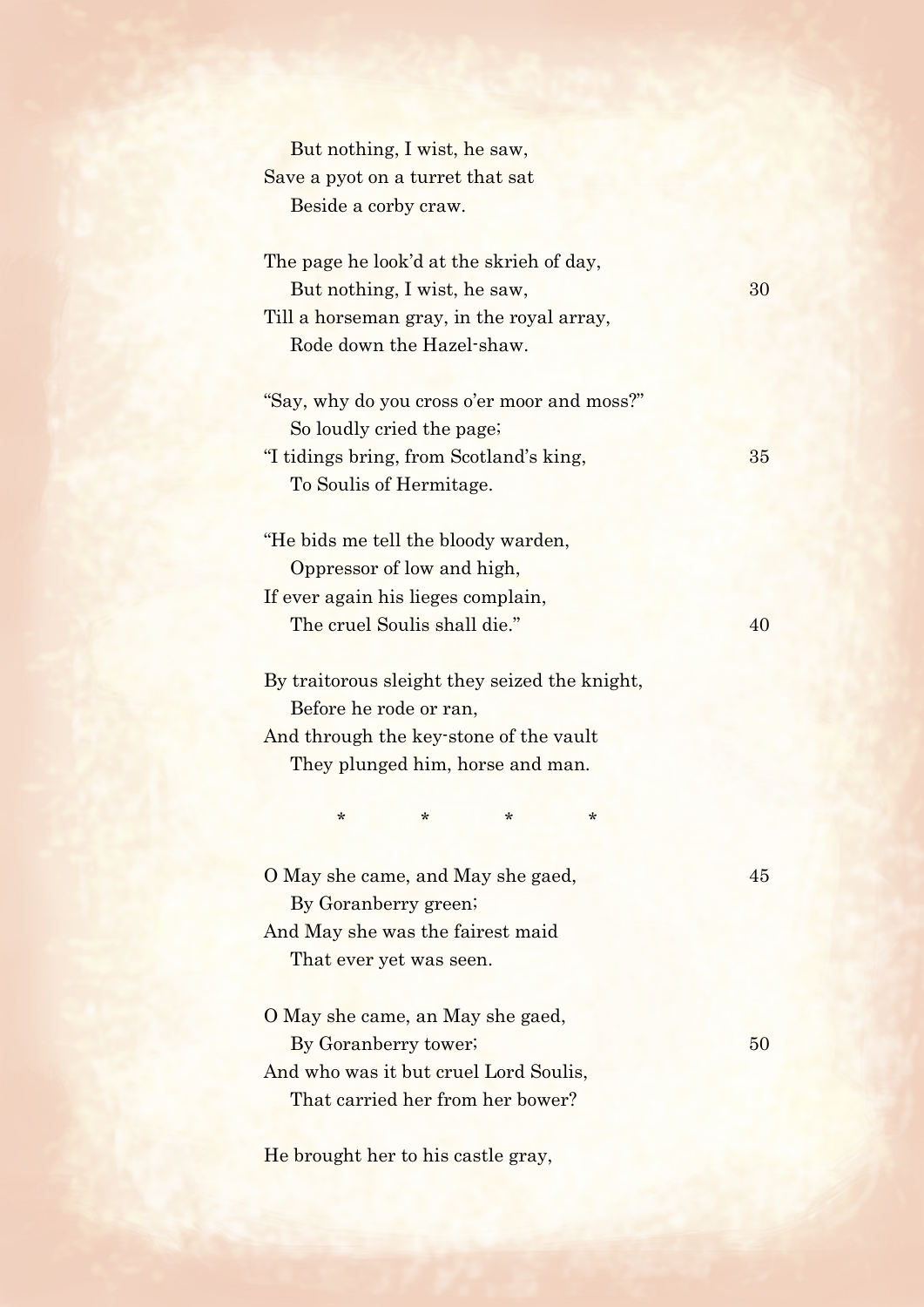But nothing, I wist, he saw, Save a pyot on a turret that sat Beside a corby craw.

| The page he look'd at the skrieh of day,      |    |
|-----------------------------------------------|----|
| But nothing, I wist, he saw,                  | 30 |
| Till a horseman gray, in the royal array,     |    |
| Rode down the Hazel-shaw.                     |    |
|                                               |    |
| "Say, why do you cross o'er moor and moss?"   |    |
| So loudly cried the page;                     |    |
| "I tidings bring, from Scotland's king,       | 35 |
| To Soulis of Hermitage.                       |    |
|                                               |    |
| "He bids me tell the bloody warden,           |    |
| Oppressor of low and high,                    |    |
| If ever again his lieges complain,            |    |
| The cruel Soulis shall die."                  | 40 |
|                                               |    |
| By traitorous sleight they seized the knight, |    |
| Before he rode or ran,                        |    |
| And through the key-stone of the vault        |    |
| They plunged him, horse and man.              |    |
|                                               |    |

O May she came, and May she gaed, 45 By Goranberry green; And May she was the fairest maid

\* \* \* \* \* \* \*

That ever yet was seen.

O May she came, an May she gaed, By Goranberry tower; 50 And who was it but cruel Lord Soulis, That carried her from her bower?

He brought her to his castle gray,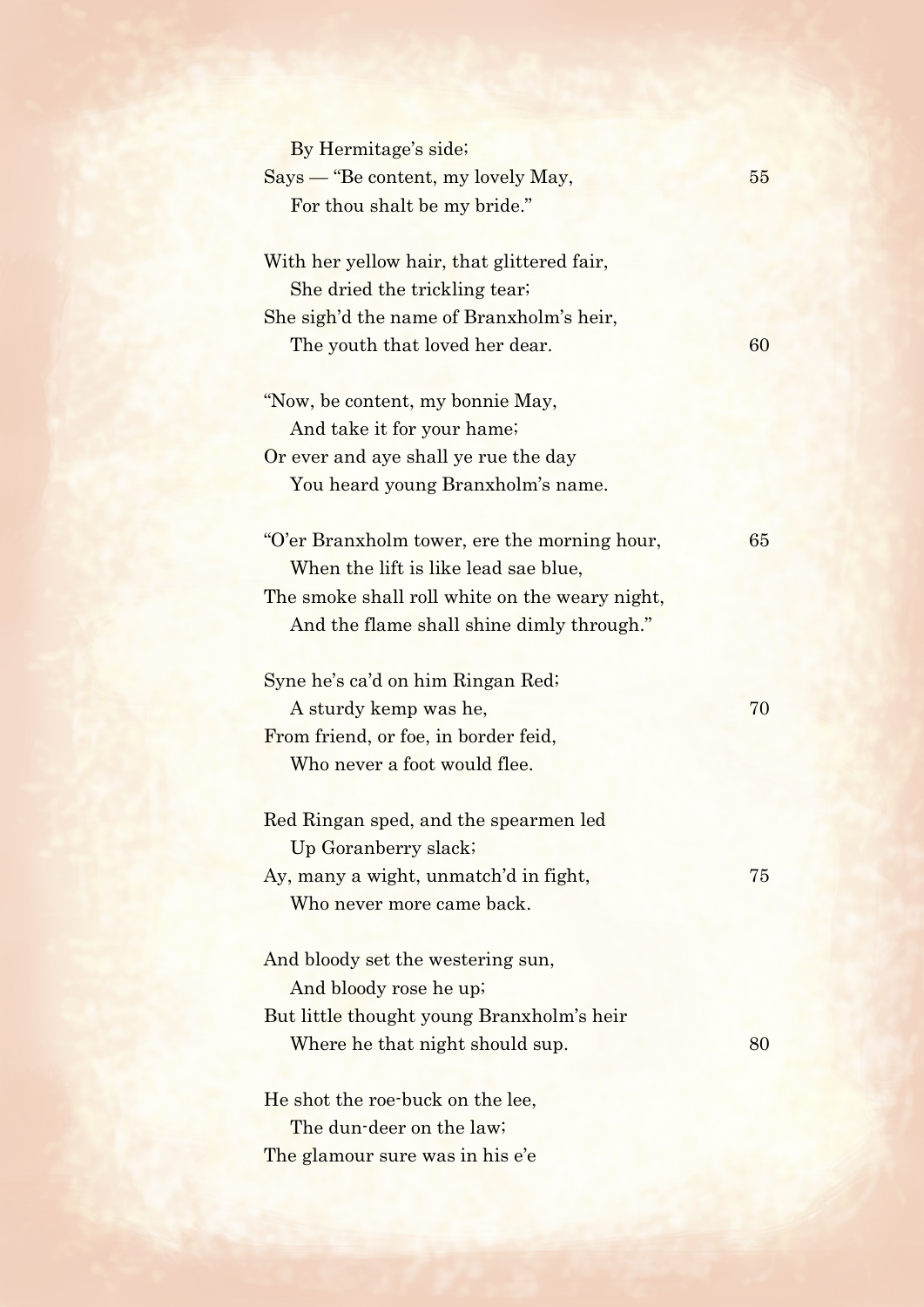| By Hermitage's side;                           |    |
|------------------------------------------------|----|
| Says — "Be content, my lovely May,             | 55 |
| For thou shalt be my bride."                   |    |
| With her yellow hair, that glittered fair,     |    |
| She dried the trickling tear;                  |    |
| She sigh'd the name of Branxholm's heir,       |    |
| The youth that loved her dear.                 | 60 |
| "Now, be content, my bonnie May,               |    |
| And take it for your hame;                     |    |
| Or ever and aye shall ye rue the day           |    |
| You heard young Branxholm's name.              |    |
| "O'er Branxholm tower, ere the morning hour,   | 65 |
| When the lift is like lead sae blue,           |    |
| The smoke shall roll white on the weary night, |    |
| And the flame shall shine dimly through."      |    |
| Syne he's ca'd on him Ringan Red;              |    |
| A sturdy kemp was he,                          | 70 |
| From friend, or foe, in border feid,           |    |
| Who never a foot would flee.                   |    |
| Red Ringan sped, and the spearmen led          |    |
| Up Goranberry slack;                           |    |
| Ay, many a wight, unmatch'd in fight,          | 75 |
| Who never more came back.                      |    |
| And bloody set the westering sun,              |    |
| And bloody rose he up;                         |    |
| But little thought young Branxholm's heir      |    |
| Where he that night should sup.                | 80 |
| He shot the roe-buck on the lee,               |    |
| The dun-deer on the law;                       |    |
| The glamour sure was in his e'e                |    |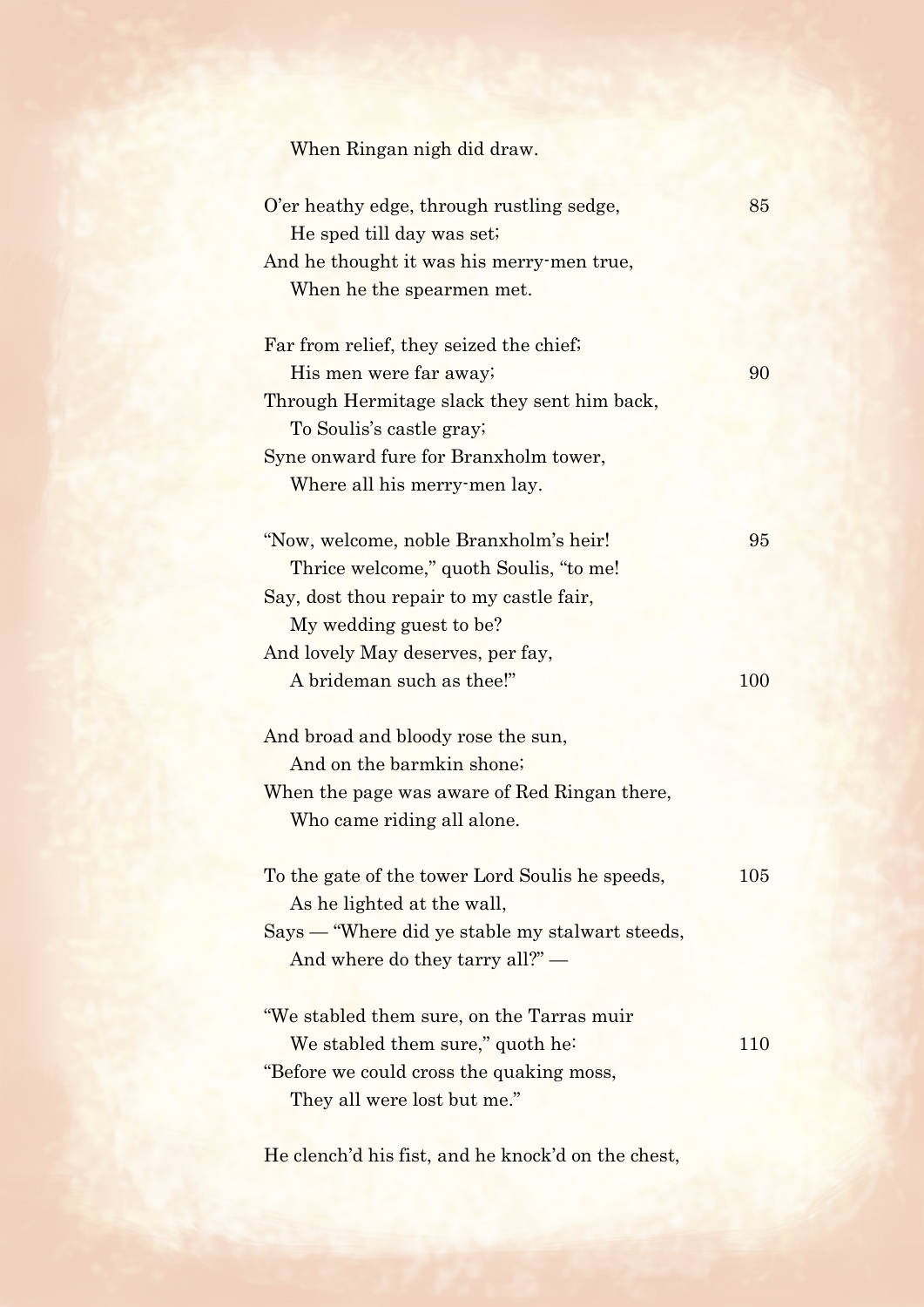| When Ringan nigh did draw. |  |  |
|----------------------------|--|--|
|                            |  |  |

| O'er heathy edge, through rustling sedge,<br>He sped till day was set; | 85      |
|------------------------------------------------------------------------|---------|
| And he thought it was his merry-men true,                              |         |
| When he the spearmen met.                                              |         |
| Far from relief, they seized the chief;                                |         |
| His men were far away;                                                 | 90      |
| Through Hermitage slack they sent him back,                            |         |
| To Soulis's castle gray;                                               |         |
| Syne onward fure for Branxholm tower,                                  |         |
| Where all his merry-men lay.                                           |         |
|                                                                        |         |
| "Now, welcome, noble Branxholm's heir!                                 | 95      |
| Thrice welcome," quoth Soulis, "to me!                                 |         |
| Say, dost thou repair to my castle fair,                               |         |
| My wedding guest to be?                                                |         |
| And lovely May deserves, per fay,                                      |         |
| A brideman such as thee!"                                              | 100     |
|                                                                        |         |
| And broad and bloody rose the sun,<br>And on the barmkin shone;        |         |
| When the page was aware of Red Ringan there,                           |         |
| Who came riding all alone.                                             |         |
|                                                                        |         |
| To the gate of the tower Lord Soulis he speeds,                        | $105\,$ |
| As he lighted at the wall,                                             |         |
| Says — "Where did ye stable my stalwart steeds,                        |         |
| And where do they tarry all?" —                                        |         |
|                                                                        |         |
| "We stabled them sure, on the Tarras muir                              |         |
| We stabled them sure," quoth he:                                       | 110     |
| "Before we could cross the quaking moss,                               |         |
| They all were lost but me."                                            |         |
|                                                                        |         |

He clench'd his fist, and he knock'd on the chest,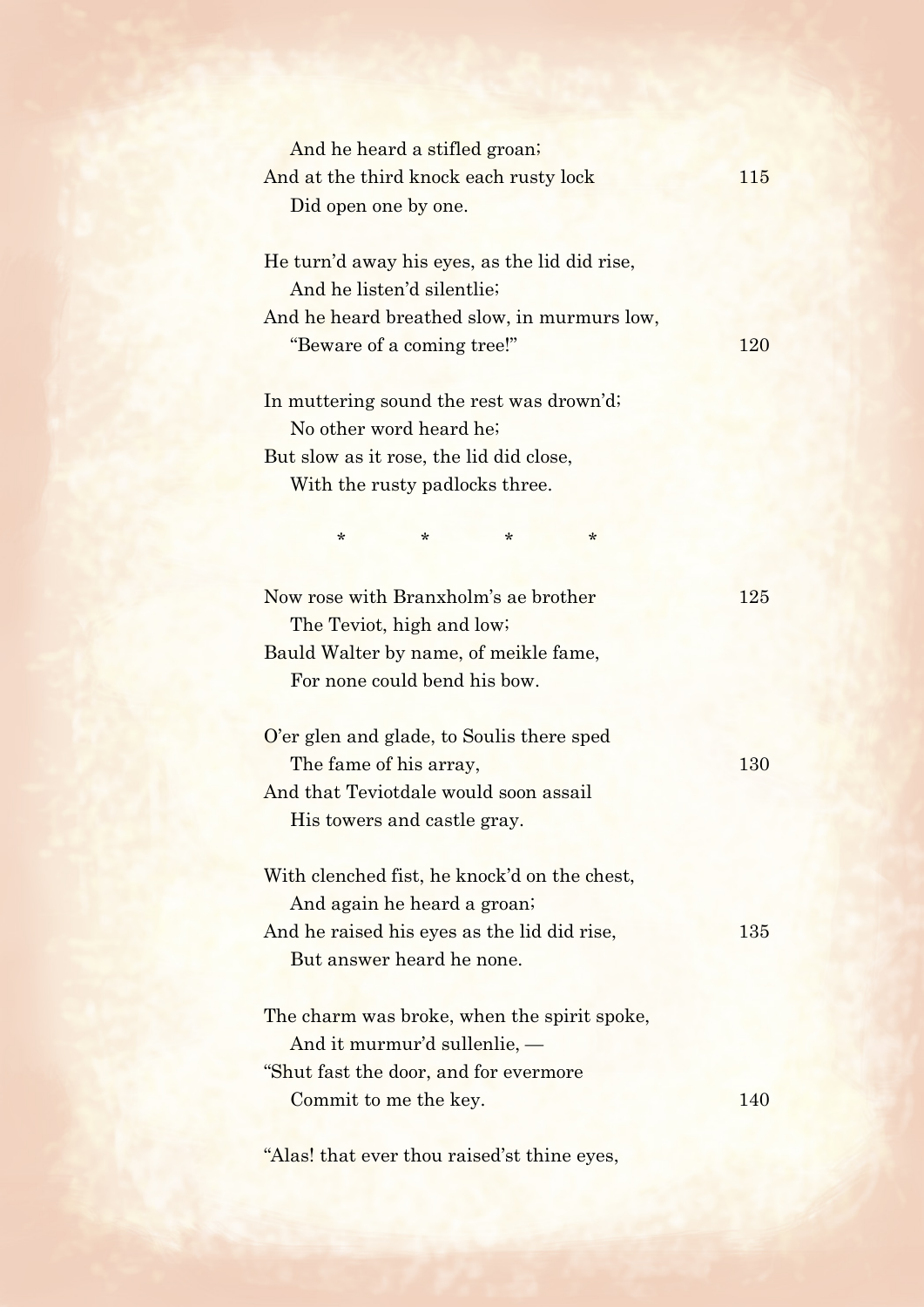| And he heard a stifled groan;                 |            |
|-----------------------------------------------|------------|
| And at the third knock each rusty lock        | 115        |
| Did open one by one.                          |            |
|                                               |            |
| He turn'd away his eyes, as the lid did rise, |            |
| And he listen'd silentlie;                    |            |
| And he heard breathed slow, in murmurs low,   |            |
| "Beware of a coming tree!"                    | <b>120</b> |
| In muttering sound the rest was drown'd;      |            |
| No other word heard he;                       |            |
| But slow as it rose, the lid did close,       |            |
| With the rusty padlocks three.                |            |
|                                               |            |
| $^\star$<br>*<br>$^\star$<br>$^\star$         |            |
|                                               |            |
| Now rose with Branxholm's ae brother          | 125        |
| The Teviot, high and low;                     |            |
| Bauld Walter by name, of meikle fame,         |            |
| For none could bend his bow.                  |            |
|                                               |            |
| O'er glen and glade, to Soulis there sped     |            |
| The fame of his array,                        | 130        |
| And that Teviotdale would soon assail         |            |
| His towers and castle gray.                   |            |
| With clenched fist, he knock'd on the chest,  |            |
| And again he heard a groan;                   |            |
| And he raised his eyes as the lid did rise,   | 135        |
| But answer heard he none.                     |            |
|                                               |            |
| The charm was broke, when the spirit spoke,   |            |
| And it murmur'd sullenlie, $-$                |            |
| "Shut fast the door, and for evermore"        |            |
| Commit to me the key.                         | 140        |
|                                               |            |

"Alas! that ever thou raised'st thine eyes,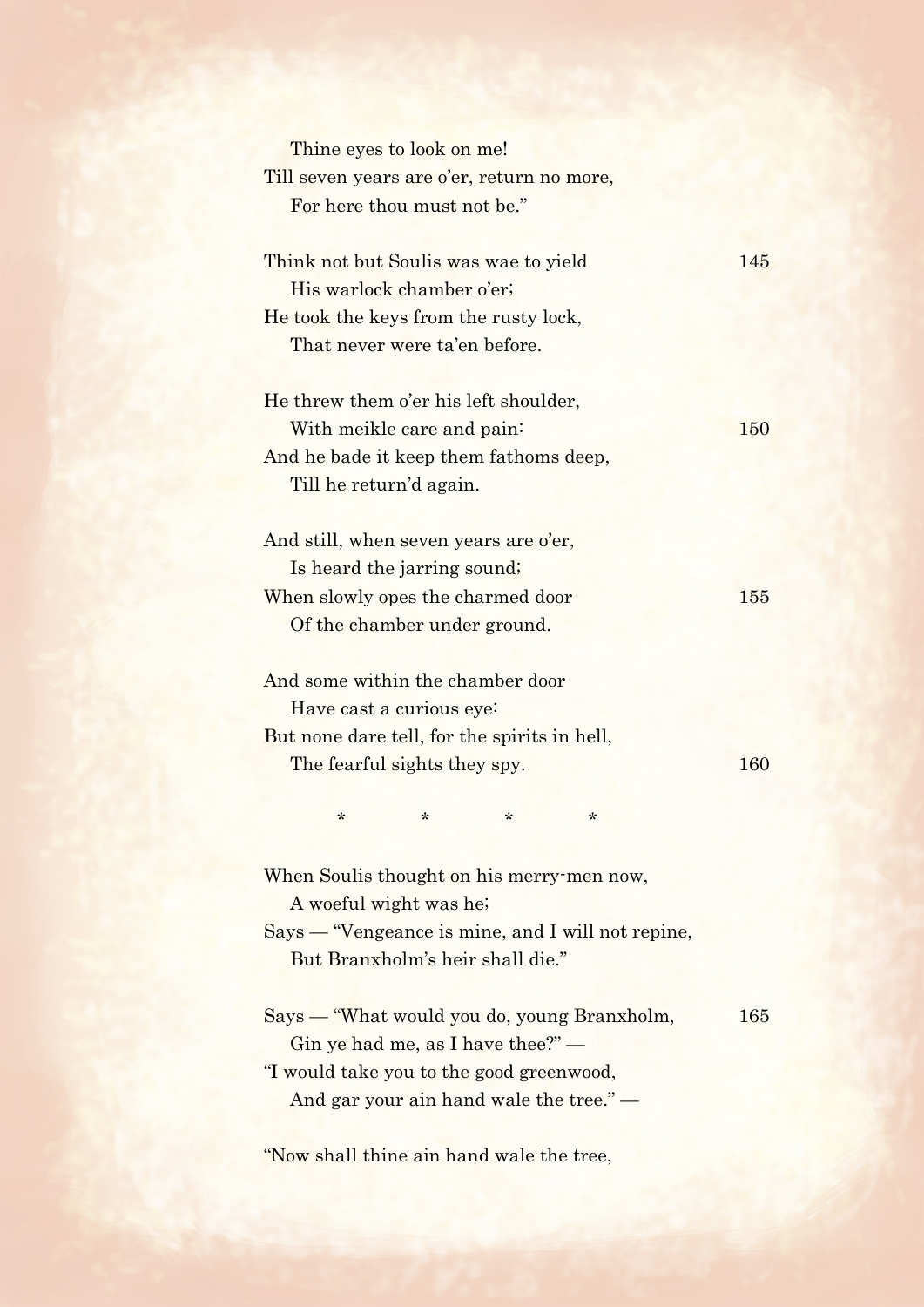| Thine eyes to look on me!                         |     |
|---------------------------------------------------|-----|
| Till seven years are o'er, return no more,        |     |
| For here thou must not be."                       |     |
| Think not but Soulis was wae to yield             | 145 |
| His warlock chamber o'er;                         |     |
| He took the keys from the rusty lock,             |     |
| That never were ta'en before.                     |     |
|                                                   |     |
| He threw them o'er his left shoulder,             |     |
| With meikle care and pain:                        | 150 |
| And he bade it keep them fathoms deep,            |     |
| Till he return'd again.                           |     |
| And still, when seven years are o'er,             |     |
| Is heard the jarring sound;                       |     |
| When slowly opes the charmed door                 | 155 |
| Of the chamber under ground.                      |     |
|                                                   |     |
| And some within the chamber door                  |     |
| Have cast a curious eye:                          |     |
| But none dare tell, for the spirits in hell,      |     |
| The fearful sights they spy.                      | 160 |
|                                                   |     |
| $\ast$<br>$^\star$<br>$^\star$<br>*               |     |
| When Soulis thought on his merry-men now,         |     |
| A woeful wight was he;                            |     |
| Says — "Vengeance is mine, and I will not repine, |     |
| But Branxholm's heir shall die."                  |     |
|                                                   |     |
| Says — "What would you do, young Branxholm,       | 165 |
| Gin ye had me, as I have thee?" $-$               |     |
| "I would take you to the good greenwood,          |     |
| And gar your ain hand wale the tree." —           |     |
|                                                   |     |

"Now shall thine ain hand wale the tree,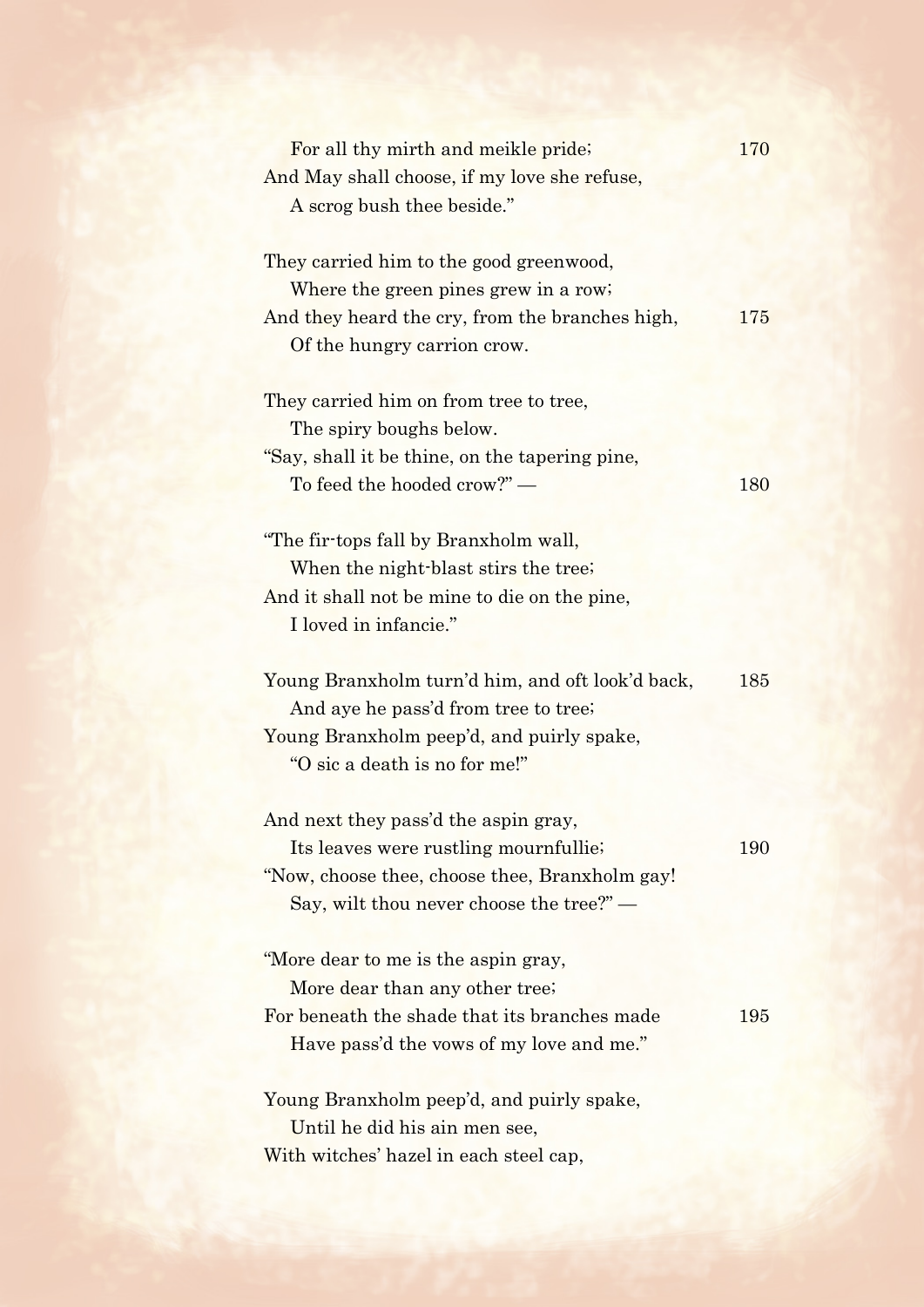| For all thy mirth and meikle pride;                               | 170 |
|-------------------------------------------------------------------|-----|
| And May shall choose, if my love she refuse,                      |     |
| A scrog bush thee beside."                                        |     |
|                                                                   |     |
| They carried him to the good greenwood,                           |     |
| Where the green pines grew in a row;                              |     |
| And they heard the cry, from the branches high,                   | 175 |
| Of the hungry carrion crow.                                       |     |
|                                                                   |     |
| They carried him on from tree to tree,<br>The spiry boughs below. |     |
| "Say, shall it be thine, on the tapering pine,                    |     |
| To feed the hooded crow?" —                                       | 180 |
|                                                                   |     |
| "The fir-tops fall by Branxholm wall,                             |     |
| When the night-blast stirs the tree;                              |     |
| And it shall not be mine to die on the pine,                      |     |
| I loved in infancie."                                             |     |
|                                                                   |     |
| Young Branxholm turn'd him, and oft look'd back,                  | 185 |
| And aye he pass'd from tree to tree;                              |     |
| Young Branxholm peep'd, and puirly spake,                         |     |
| "O sic a death is no for me!"                                     |     |
|                                                                   |     |
| And next they pass'd the aspin gray,                              |     |
| Its leaves were rustling mournfullie;                             | 190 |
| "Now, choose thee, choose thee, Branxholm gay!"                   |     |
| Say, wilt thou never choose the tree?" $-$                        |     |
|                                                                   |     |
| "More dear to me is the aspin gray,                               |     |
| More dear than any other tree;                                    |     |
| For beneath the shade that its branches made                      | 195 |
| Have pass'd the vows of my love and me."                          |     |
| Young Branxholm peep'd, and puirly spake,                         |     |
| Until he did his ain men see,                                     |     |
|                                                                   |     |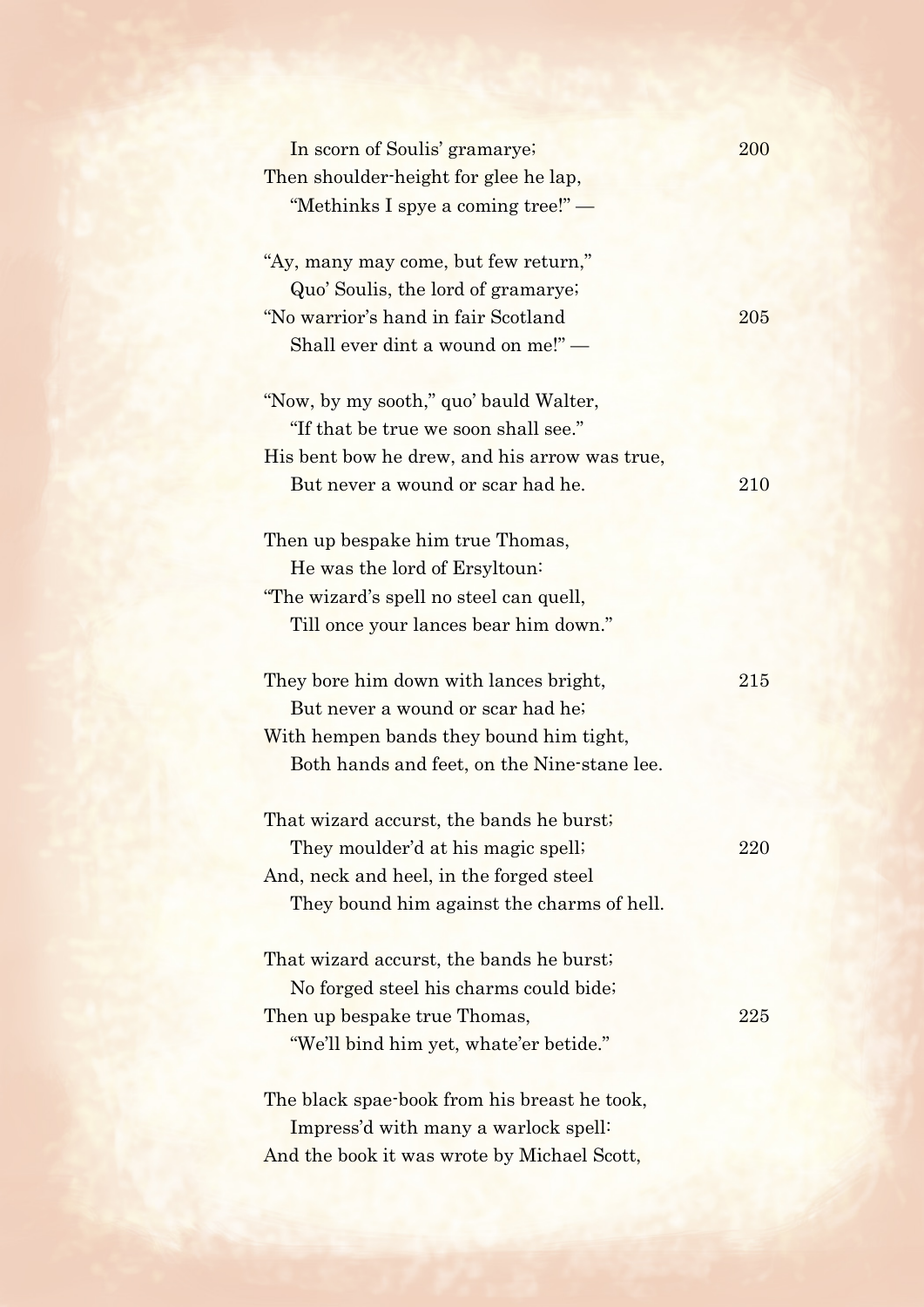| In scorn of Soulis' gramarye;                 | 200 |
|-----------------------------------------------|-----|
| Then shoulder-height for glee he lap,         |     |
| "Methinks I spye a coming tree!" —            |     |
|                                               |     |
| "Ay, many may come, but few return,"          |     |
| Quo' Soulis, the lord of gramarye;            |     |
| "No warrior's hand in fair Scotland           | 205 |
| Shall ever dint a wound on me!"-              |     |
| "Now, by my sooth," quo' bauld Walter,        |     |
| "If that be true we soon shall see."          |     |
| His bent bow he drew, and his arrow was true, |     |
| But never a wound or scar had he.             | 210 |
|                                               |     |
| Then up bespake him true Thomas,              |     |
| He was the lord of Ersyltoun:                 |     |
| "The wizard's spell no steel can quell,       |     |
| Till once your lances bear him down."         |     |
|                                               |     |
| They bore him down with lances bright,        | 215 |
| But never a wound or scar had he;             |     |
| With hempen bands they bound him tight,       |     |
| Both hands and feet, on the Nine-stane lee.   |     |
|                                               |     |
| That wizard accurst, the bands he burst;      |     |
| They moulder'd at his magic spell;            | 220 |
| And, neck and heel, in the forged steel       |     |
| They bound him against the charms of hell.    |     |
| That wizard accurst, the bands he burst;      |     |
| No forged steel his charms could bide;        |     |
| Then up bespake true Thomas,                  | 225 |
| "We'll bind him yet, whate'er betide."        |     |
|                                               |     |
| The black spae-book from his breast he took,  |     |
| Impress'd with many a warlock spell:          |     |
| And the book it was wrote by Michael Scott,   |     |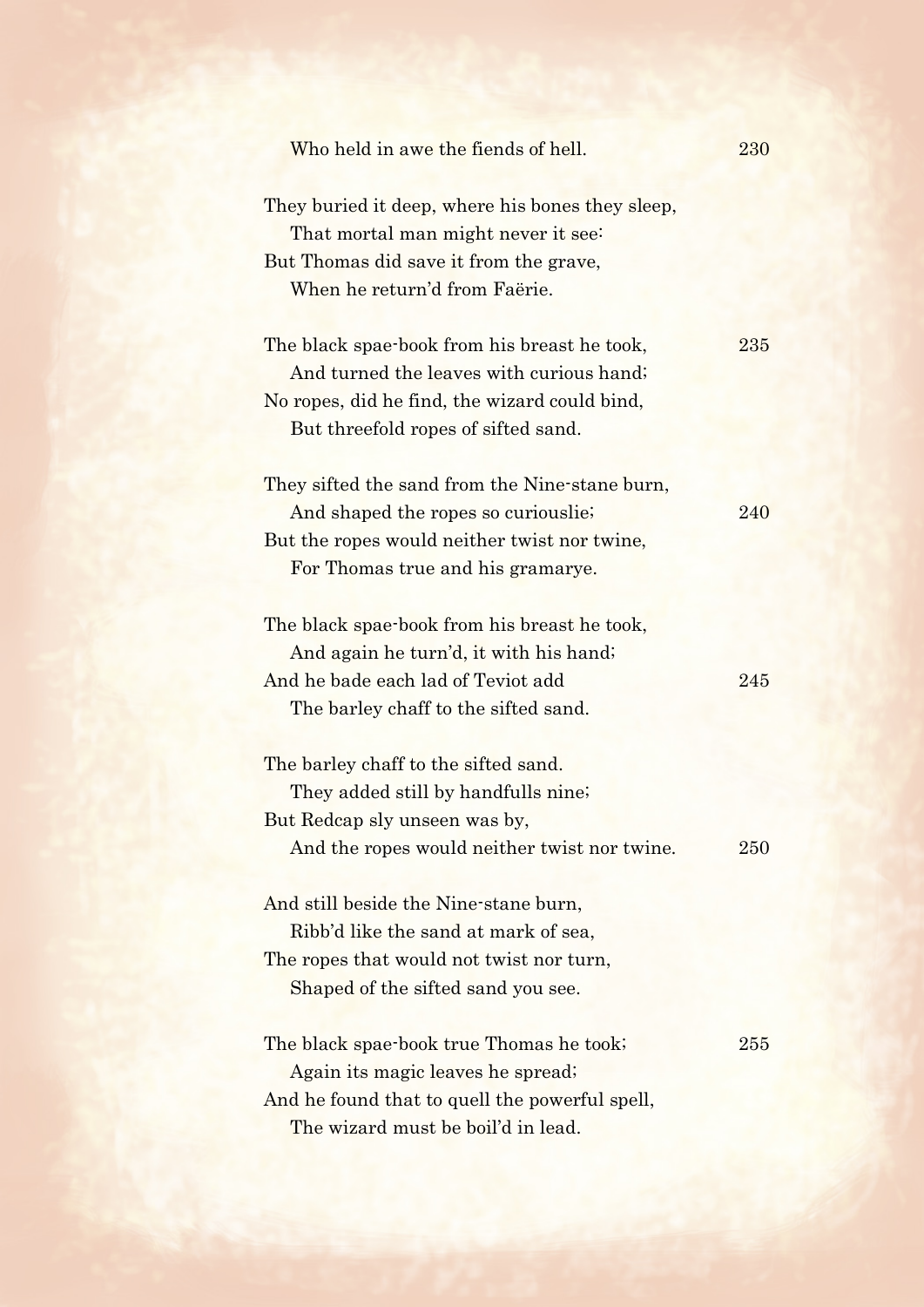| Who held in awe the fiends of hell.                                                                                                                                              | 230 |
|----------------------------------------------------------------------------------------------------------------------------------------------------------------------------------|-----|
| They buried it deep, where his bones they sleep,<br>That mortal man might never it see:<br>But Thomas did save it from the grave,<br>When he return'd from Faërie.               |     |
| The black spae-book from his breast he took,<br>And turned the leaves with curious hand;<br>No ropes, did he find, the wizard could bind,<br>But threefold ropes of sifted sand. | 235 |
| They sifted the sand from the Nine-stane burn,<br>And shaped the ropes so curiouslie.<br>But the ropes would neither twist nor twine,<br>For Thomas true and his gramarye.       | 240 |
| The black spae-book from his breast he took,<br>And again he turn'd, it with his hand;<br>And he bade each lad of Teviot add<br>The barley chaff to the sifted sand.             | 245 |
| The barley chaff to the sifted sand.<br>They added still by handfulls nine;<br>But Redcap sly unseen was by,<br>And the ropes would neither twist nor twine.                     | 250 |
| And still beside the Nine-stane burn,<br>Ribb'd like the sand at mark of sea,<br>The ropes that would not twist nor turn,<br>Shaped of the sifted sand you see.                  |     |
| The black spae-book true Thomas he took;<br>Again its magic leaves he spread;<br>And he found that to quell the powerful spell,<br>The wizard must be boil'd in lead.            | 255 |